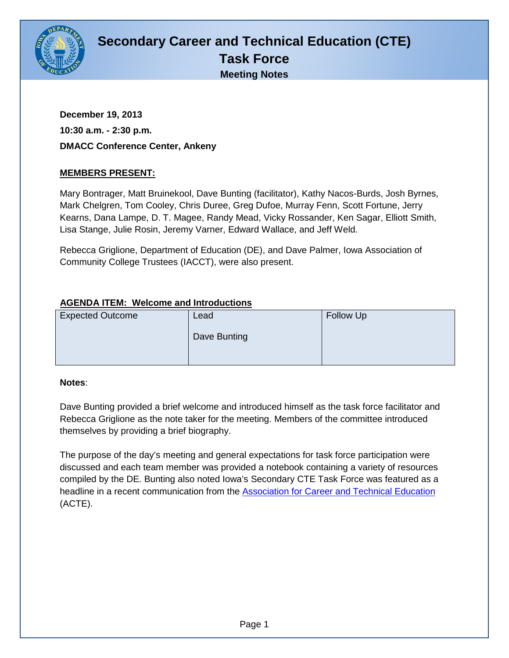

# **Secondary Career and Technical Education (CTE) Task Force Meeting Notes**

**December 19, 2013 10:30 a.m. - 2:30 p.m. DMACC Conference Center, Ankeny**

# **MEMBERS PRESENT:**

Mary Bontrager, Matt Bruinekool, Dave Bunting (facilitator), Kathy Nacos-Burds, Josh Byrnes, Mark Chelgren, Tom Cooley, Chris Duree, Greg Dufoe, Murray Fenn, Scott Fortune, Jerry Kearns, Dana Lampe, D. T. Magee, Randy Mead, Vicky Rossander, Ken Sagar, Elliott Smith, Lisa Stange, Julie Rosin, Jeremy Varner, Edward Wallace, and Jeff Weld.

Rebecca Griglione, Department of Education (DE), and Dave Palmer, Iowa Association of Community College Trustees (IACCT), were also present.

## **AGENDA ITEM: Welcome and Introductions**

| <b>Expected Outcome</b> | Lead         | Follow Up |
|-------------------------|--------------|-----------|
|                         | Dave Bunting |           |
|                         |              |           |

#### **Notes**:

Dave Bunting provided a brief welcome and introduced himself as the task force facilitator and Rebecca Griglione as the note taker for the meeting. Members of the committee introduced themselves by providing a brief biography.

The purpose of the day's meeting and general expectations for task force participation were discussed and each team member was provided a notebook containing a variety of resources compiled by the DE. Bunting also noted Iowa's Secondary CTE Task Force was featured as a headline in a recent communication from the [Association for Career and Technical Education](https://www.acteonline.org/) (ACTE).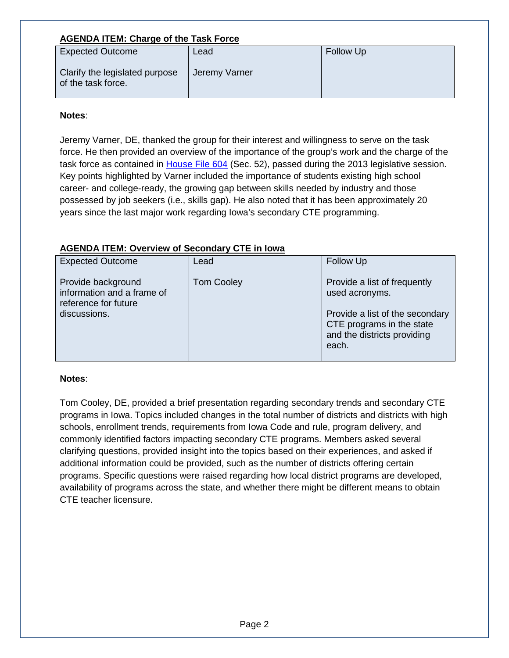## **AGENDA ITEM: Charge of the Task Force**

| <b>Expected Outcome</b>                              | Lead          | <b>Follow Up</b> |
|------------------------------------------------------|---------------|------------------|
| Clarify the legislated purpose<br>of the task force. | Jeremy Varner |                  |

#### **Notes**:

Jeremy Varner, DE, thanked the group for their interest and willingness to serve on the task force. He then provided an overview of the importance of the group's work and the charge of the task force as contained in [House File 604](http://coolice.legis.iowa.gov/linc/85/external/HF604_Enrolled.html) (Sec. 52), passed during the 2013 legislative session. Key points highlighted by Varner included the importance of students existing high school career- and college-ready, the growing gap between skills needed by industry and those possessed by job seekers (i.e., skills gap). He also noted that it has been approximately 20 years since the last major work regarding Iowa's secondary CTE programming.

## **AGENDA ITEM: Overview of Secondary CTE in Iowa**

| <b>Expected Outcome</b>                                                                  | Lead              | Follow Up                                                                                                                                              |
|------------------------------------------------------------------------------------------|-------------------|--------------------------------------------------------------------------------------------------------------------------------------------------------|
| Provide background<br>information and a frame of<br>reference for future<br>discussions. | <b>Tom Cooley</b> | Provide a list of frequently<br>used acronyms.<br>Provide a list of the secondary<br>CTE programs in the state<br>and the districts providing<br>each. |

## **Notes**:

Tom Cooley, DE, provided a brief presentation regarding secondary trends and secondary CTE programs in Iowa. Topics included changes in the total number of districts and districts with high schools, enrollment trends, requirements from Iowa Code and rule, program delivery, and commonly identified factors impacting secondary CTE programs. Members asked several clarifying questions, provided insight into the topics based on their experiences, and asked if additional information could be provided, such as the number of districts offering certain programs. Specific questions were raised regarding how local district programs are developed, availability of programs across the state, and whether there might be different means to obtain CTE teacher licensure.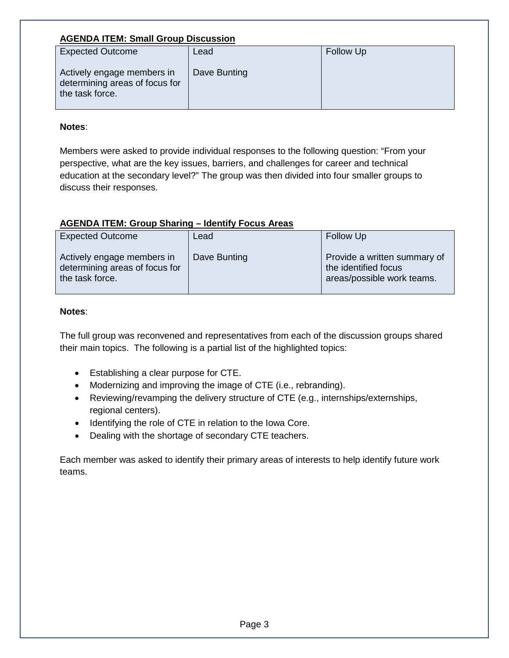## **AGENDA ITEM: Small Group Discussion**

| <b>Expected Outcome</b>                                                         | Lead         | <b>Follow Up</b> |
|---------------------------------------------------------------------------------|--------------|------------------|
| Actively engage members in<br>determining areas of focus for<br>the task force. | Dave Bunting |                  |

#### **Notes**:

Members were asked to provide individual responses to the following question: "From your perspective, what are the key issues, barriers, and challenges for career and technical education at the secondary level?" The group was then divided into four smaller groups to discuss their responses.

# **AGENDA ITEM: Group Sharing – Identify Focus Areas**

| <b>Expected Outcome</b>                                                         | Lead         | Follow Up                                                                          |
|---------------------------------------------------------------------------------|--------------|------------------------------------------------------------------------------------|
| Actively engage members in<br>determining areas of focus for<br>the task force. | Dave Bunting | Provide a written summary of<br>the identified focus<br>areas/possible work teams. |

#### **Notes**:

The full group was reconvened and representatives from each of the discussion groups shared their main topics. The following is a partial list of the highlighted topics:

- Establishing a clear purpose for CTE.
- Modernizing and improving the image of CTE (i.e., rebranding).
- Reviewing/revamping the delivery structure of CTE (e.g., internships/externships, regional centers).
- Identifying the role of CTE in relation to the Iowa Core.
- Dealing with the shortage of secondary CTE teachers.

Each member was asked to identify their primary areas of interests to help identify future work teams.